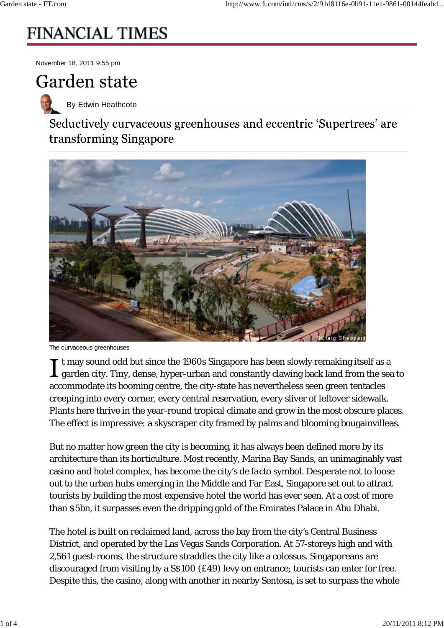## **FINANCIAL TIMES**

November 18, 2011 9:55 pm

## **Garden state**

By Edwin Heathcote

Seductively curvaceous greenhouses and eccentric 'Supertrees' are transforming Singapore



The curvaceous greenhouses

t may sound odd but since the 1960s Singapore has been slowly remaking itself as a  $\perp$  garden city. Tiny, dense, hyper-urban and constantly clawing back land from the sea to accommodate its booming centre, the city-state has nevertheless seen green tentacles creeping into every corner, every central reservation, every sliver of leftover sidewalk. Plants here thrive in the year-round tropical climate and grow in the most obscure places. The effect is impressive: a skyscraper city framed by palms and blooming bougainvilleas.

But no matter how green the city is becoming, it has always been defined more by its architecture than its horticulture. Most recently, Marina Bay Sands, an unimaginably vast casino and hotel complex, has become the city's *de facto* symbol. Desperate not to loose out to the urban hubs emerging in the Middle and Far East, Singapore set out to attract tourists by building the most expensive hotel the world has ever seen. At a cost of more than \$5bn, it surpasses even the dripping gold of the Emirates Palace in Abu Dhabi.

The hotel is built on reclaimed land, across the bay from the city's Central Business District, and operated by the Las Vegas Sands Corporation. At 57-storeys high and with 2,561 guest-rooms, the structure straddles the city like a colossus. Singaporeans are discouraged from visiting by a S\$100 (£49) levy on entrance; tourists can enter for free. Despite this, the casino, along with another in nearby Sentosa, is set to surpass the whole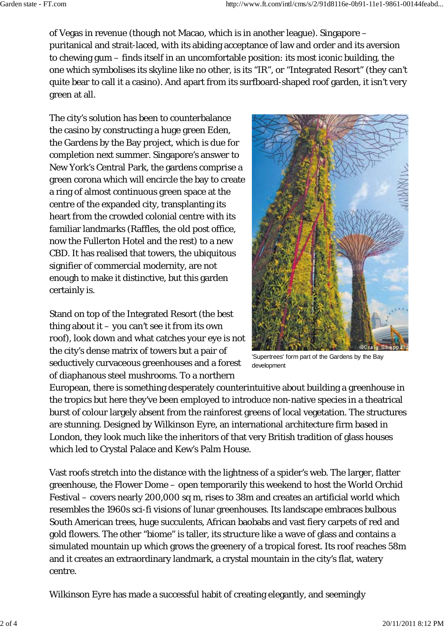of Vegas in revenue (though not Macao, which is in another league). Singapore – puritanical and strait-laced, with its abiding acceptance of law and order and its aversion to chewing gum – finds itself in an uncomfortable position: its most iconic building, the one which symbolises its skyline like no other, is its "IR", or "Integrated Resort" (they can't quite bear to call it a casino). And apart from its surfboard-shaped roof garden, it isn't very green at all.

The city's solution has been to counterbalance the casino by constructing a huge green Eden, the Gardens by the Bay project, which is due for completion next summer. Singapore's answer to New York's Central Park, the gardens comprise a green corona which will encircle the bay to create a ring of almost continuous green space at the centre of the expanded city, transplanting its heart from the crowded colonial centre with its familiar landmarks (Raffles, the old post office, now the Fullerton Hotel and the rest) to a new CBD. It has realised that towers, the ubiquitous signifier of commercial modernity, are not enough to make it distinctive, but this garden certainly is.

Stand on top of the Integrated Resort (the best thing about it  $-$  you can't see it from its own roof), look down and what catches your eye is not the city's dense matrix of towers but a pair of seductively curvaceous greenhouses and a forest of diaphanous steel mushrooms. To a northern



'Supertrees' form part of the Gardens by the Bay development

European, there is something desperately counterintuitive about building a greenhouse in the tropics but here they've been employed to introduce non-native species in a theatrical burst of colour largely absent from the rainforest greens of local vegetation. The structures are stunning. Designed by Wilkinson Eyre, an international architecture firm based in London, they look much like the inheritors of that very British tradition of glass houses which led to Crystal Palace and Kew's Palm House.

Vast roofs stretch into the distance with the lightness of a spider's web. The larger, flatter greenhouse, the Flower Dome – open temporarily this weekend to host the World Orchid Festival – covers nearly 200,000 sq m, rises to 38m and creates an artificial world which resembles the 1960s sci-fi visions of lunar greenhouses. Its landscape embraces bulbous South American trees, huge succulents, African baobabs and vast fiery carpets of red and gold flowers. The other "biome" is taller, its structure like a wave of glass and contains a simulated mountain up which grows the greenery of a tropical forest. Its roof reaches 58m and it creates an extraordinary landmark, a crystal mountain in the city's flat, watery centre.

Wilkinson Eyre has made a successful habit of creating elegantly, and seemingly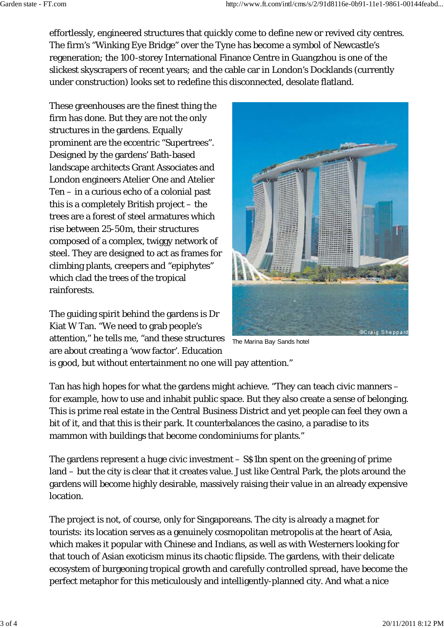effortlessly, engineered structures that quickly come to define new or revived city centres. The firm's "Winking Eye Bridge" over the Tyne has become a symbol of Newcastle's regeneration; the 100-storey International Finance Centre in Guangzhou is one of the slickest skyscrapers of recent years; and the cable car in London's Docklands (currently under construction) looks set to redefine this disconnected, desolate flatland.

These greenhouses are the finest thing the firm has done. But they are not the only structures in the gardens. Equally prominent are the eccentric "Supertrees". Designed by the gardens' Bath-based landscape architects Grant Associates and London engineers Atelier One and Atelier Ten – in a curious echo of a colonial past this is a completely British project – the trees are a forest of steel armatures which rise between 25-50m, their structures composed of a complex, twiggy network of steel. They are designed to act as frames for climbing plants, creepers and "epiphytes" which clad the trees of the tropical rainforests.

The guiding spirit behind the gardens is Dr Kiat W Tan. "We need to grab people's attention," he tells me, "and these structures are about creating a 'wow factor'. Education



The Marina Bay Sands hotel

is good, but without entertainment no one will pay attention."

Tan has high hopes for what the gardens might achieve. "They can teach civic manners – for example, how to use and inhabit public space. But they also create a sense of belonging. This is prime real estate in the Central Business District and yet people can feel they own a bit of it, and that this is their park. It counterbalances the casino, a paradise to its mammon with buildings that become condominiums for plants."

The gardens represent a huge civic investment – S\$1bn spent on the greening of prime land – but the city is clear that it creates value. Just like Central Park, the plots around the gardens will become highly desirable, massively raising their value in an already expensive location.

The project is not, of course, only for Singaporeans. The city is already a magnet for tourists: its location serves as a genuinely cosmopolitan metropolis at the heart of Asia, which makes it popular with Chinese and Indians, as well as with Westerners looking for that touch of Asian exoticism minus its chaotic flipside. The gardens, with their delicate ecosystem of burgeoning tropical growth and carefully controlled spread, have become the perfect metaphor for this meticulously and intelligently-planned city. And what a nice